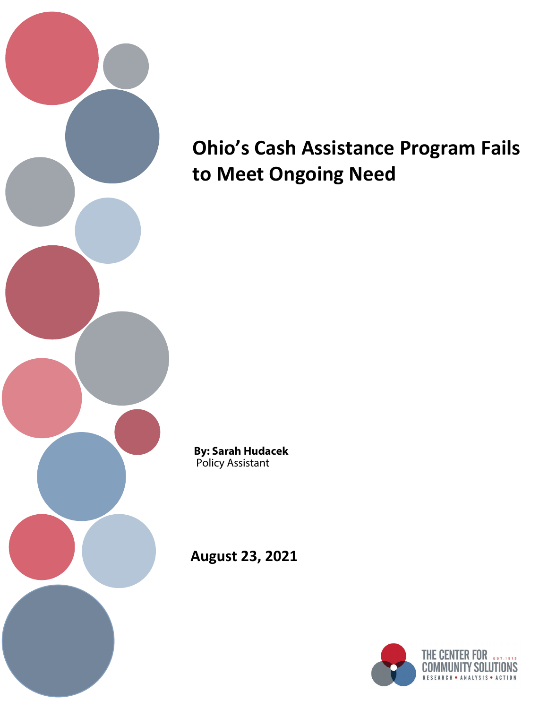

# **Ohio's Cash Assistance Program Fails to Meet Ongoing Need**

**By: Sarah Hudacek** Policy Assistant

**August 23, 2021**

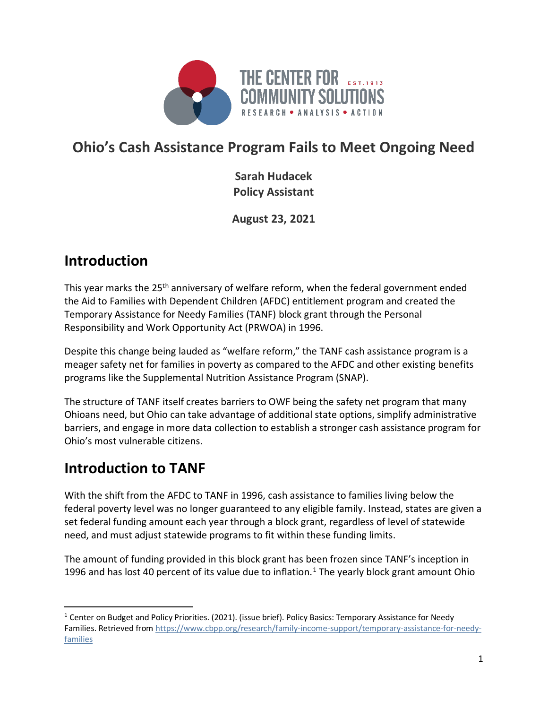

# **Ohio's Cash Assistance Program Fails to Meet Ongoing Need**

**Sarah Hudacek Policy Assistant**

**August 23, 2021**

## **Introduction**

This year marks the 25<sup>th</sup> anniversary of welfare reform, when the federal government ended the Aid to Families with Dependent Children (AFDC) entitlement program and created the Temporary Assistance for Needy Families (TANF) block grant through the Personal Responsibility and Work Opportunity Act (PRWOA) in 1996.

Despite this change being lauded as "welfare reform," the TANF cash assistance program is a meager safety net for families in poverty as compared to the AFDC and other existing benefits programs like the Supplemental Nutrition Assistance Program (SNAP).

The structure of TANF itself creates barriers to OWF being the safety net program that many Ohioans need, but Ohio can take advantage of additional state options, simplify administrative barriers, and engage in more data collection to establish a stronger cash assistance program for Ohio's most vulnerable citizens.

# **Introduction to TANF**

With the shift from the AFDC to TANF in 1996, cash assistance to families living below the federal poverty level was no longer guaranteed to any eligible family. Instead, states are given a set federal funding amount each year through a block grant, regardless of level of statewide need, and must adjust statewide programs to fit within these funding limits.

The amount of funding provided in this block grant has been frozen since TANF's inception in [1](#page-1-0)996 and has lost 40 percent of its value due to inflation.<sup>1</sup> The yearly block grant amount Ohio

<span id="page-1-0"></span> $1$  Center on Budget and Policy Priorities. (2021). (issue brief). Policy Basics: Temporary Assistance for Needy Families. Retrieved fro[m https://www.cbpp.org/research/family-income-support/temporary-assistance-for-needy](https://www.cbpp.org/research/family-income-support/temporary-assistance-for-needy-families)[families](https://www.cbpp.org/research/family-income-support/temporary-assistance-for-needy-families)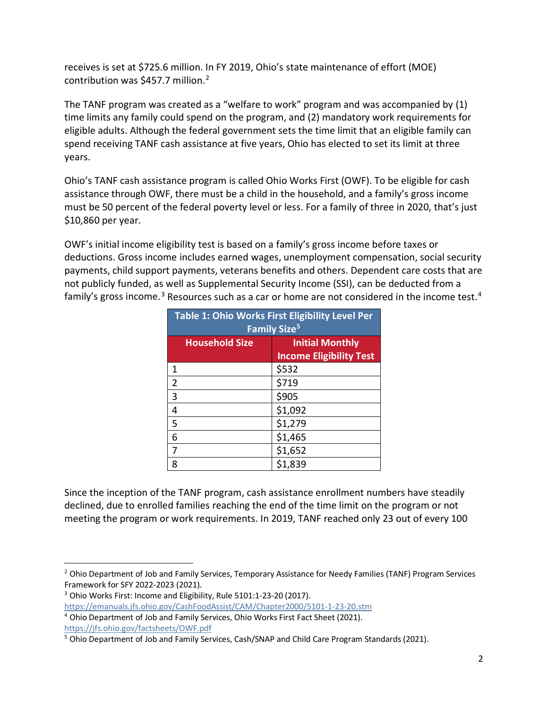receives is set at \$725.6 million. In FY 2019, Ohio's state maintenance of effort (MOE) contribution was \$457.7 million. [2](#page-2-0)

The TANF program was created as a "welfare to work" program and was accompanied by (1) time limits any family could spend on the program, and (2) mandatory work requirements for eligible adults. Although the federal government sets the time limit that an eligible family can spend receiving TANF cash assistance at five years, Ohio has elected to set its limit at three years.

Ohio's TANF cash assistance program is called Ohio Works First (OWF). To be eligible for cash assistance through OWF, there must be a child in the household, and a family's gross income must be 50 percent of the federal poverty level or less. For a family of three in 2020, that's just \$10,860 per year.

OWF's initial income eligibility test is based on a family's gross income before taxes or deductions. Gross income includes earned wages, unemployment compensation, social security payments, child support payments, veterans benefits and others. Dependent care costs that are not publicly funded, as well as Supplemental Security Income (SSI), can be deducted from a family's gross income.<sup>[3](#page-2-1)</sup> Resources such as a car or home are not considered in the income test.<sup>[4](#page-2-2)</sup>

| Table 1: Ohio Works First Eligibility Level Per<br><b>Family Size<sup>5</sup></b> |                                                          |  |
|-----------------------------------------------------------------------------------|----------------------------------------------------------|--|
| <b>Household Size</b>                                                             | <b>Initial Monthly</b><br><b>Income Eligibility Test</b> |  |
| 1                                                                                 | \$532                                                    |  |
| $\overline{2}$                                                                    | \$719                                                    |  |
| 3                                                                                 | \$905                                                    |  |
| 4                                                                                 | \$1,092                                                  |  |
| 5                                                                                 | \$1,279                                                  |  |
| 6                                                                                 | \$1,465                                                  |  |
| 7                                                                                 | \$1,652                                                  |  |
| ጸ                                                                                 | \$1,839                                                  |  |

Since the inception of the TANF program, cash assistance enrollment numbers have steadily declined, due to enrolled families reaching the end of the time limit on the program or not meeting the program or work requirements. In 2019, TANF reached only 23 out of every 100

<span id="page-2-0"></span><sup>&</sup>lt;sup>2</sup> Ohio Department of Job and Family Services, Temporary Assistance for Needy Families (TANF) Program Services Framework for SFY 2022-2023 (2021).

<span id="page-2-1"></span><sup>&</sup>lt;sup>3</sup> Ohio Works First: Income and Eligibility, Rule 5101:1-23-20 (2017).

<span id="page-2-2"></span><https://emanuals.jfs.ohio.gov/CashFoodAssist/CAM/Chapter2000/5101-1-23-20.stm> <sup>4</sup> Ohio Department of Job and Family Services, Ohio Works First Fact Sheet (2021).

<https://jfs.ohio.gov/factsheets/OWF.pdf>

<span id="page-2-3"></span><sup>5</sup> Ohio Department of Job and Family Services, Cash/SNAP and Child Care Program Standards (2021).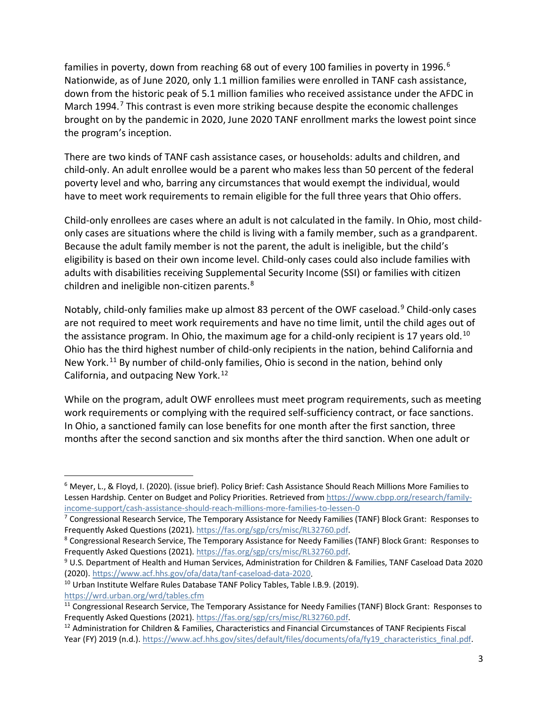families in poverty, down from reaching [6](#page-3-0)8 out of every 100 families in poverty in 1996.<sup>6</sup> Nationwide, as of June 2020, only 1.1 million families were enrolled in TANF cash assistance, down from the historic peak of 5.1 million families who received assistance under the AFDC in March 1994.<sup>[7](#page-3-1)</sup> This contrast is even more striking because despite the economic challenges brought on by the pandemic in 2020, June 2020 TANF enrollment marks the lowest point since the program's inception.

There are two kinds of TANF cash assistance cases, or households: adults and children, and child-only. An adult enrollee would be a parent who makes less than 50 percent of the federal poverty level and who, barring any circumstances that would exempt the individual, would have to meet work requirements to remain eligible for the full three years that Ohio offers.

Child-only enrollees are cases where an adult is not calculated in the family. In Ohio, most childonly cases are situations where the child is living with a family member, such as a grandparent. Because the adult family member is not the parent, the adult is ineligible, but the child's eligibility is based on their own income level. Child-only cases could also include families with adults with disabilities receiving Supplemental Security Income (SSI) or families with citizen children and ineligible non-citizen parents.[8](#page-3-2)

Notably, child-only families make up almost 83 percent of the OWF caseload.<sup>[9](#page-3-3)</sup> Child-only cases are not required to meet work requirements and have no time limit, until the child ages out of the assistance program. In Ohio, the maximum age for a child-only recipient is 17 years old.<sup>[10](#page-3-4)</sup> Ohio has the third highest number of child-only recipients in the nation, behind California and New York.<sup>[11](#page-3-5)</sup> By number of child-only families, Ohio is second in the nation, behind only California, and outpacing New York.<sup>[12](#page-3-6)</sup>

While on the program, adult OWF enrollees must meet program requirements, such as meeting work requirements or complying with the required self-sufficiency contract, or face sanctions. In Ohio, a sanctioned family can lose benefits for one month after the first sanction, three months after the second sanction and six months after the third sanction. When one adult or

<span id="page-3-4"></span><https://wrd.urban.org/wrd/tables.cfm>

<span id="page-3-0"></span> <sup>6</sup> Meyer, L., & Floyd, I. (2020). (issue brief). Policy Brief: Cash Assistance Should Reach Millions More Families to Lessen Hardship. Center on Budget and Policy Priorities. Retrieved from [https://www.cbpp.org/research/family](https://www.cbpp.org/research/family-income-support/cash-assistance-should-reach-millions-more-families-to-lessen-0)[income-support/cash-assistance-should-reach-millions-more-families-to-lessen-0](https://www.cbpp.org/research/family-income-support/cash-assistance-should-reach-millions-more-families-to-lessen-0)

<span id="page-3-1"></span><sup>&</sup>lt;sup>7</sup> Congressional Research Service, The Temporary Assistance for Needy Families (TANF) Block Grant: Responses to Frequently Asked Questions (2021)[. https://fas.org/sgp/crs/misc/RL32760.pdf.](https://fas.org/sgp/crs/misc/RL32760.pdf)<br><sup>8</sup> Congressional Research Service, The Temporary Assistance for Needy Families (TANF) Block Grant: Responses to

<span id="page-3-2"></span>Frequently Asked Questions (2021). [https://fas.org/sgp/crs/misc/RL32760.pdf.](https://fas.org/sgp/crs/misc/RL32760.pdf)<br><sup>9</sup> U.S. Department of Health and Human Services, Administration for Children & Families, TANF Caseload Data 2020

<span id="page-3-3"></span><sup>(2020).</sup> [https://www.acf.hhs.gov/ofa/data/tanf-caseload-data-2020.](https://www.acf.hhs.gov/ofa/data/tanf-caseload-data-2020)<br><sup>10</sup> Urban Institute Welfare Rules Database TANF Policy Tables, Table I.B.9. (2019).

<span id="page-3-5"></span><sup>&</sup>lt;sup>11</sup> Congressional Research Service, The Temporary Assistance for Needy Families (TANF) Block Grant: Responses to Frequently Asked Questions (2021)[. https://fas.org/sgp/crs/misc/RL32760.pdf.](https://fas.org/sgp/crs/misc/RL32760.pdf)<br><sup>12</sup> Administration for Children & Families, Characteristics and Financial Circumstances of TANF Recipients Fiscal

<span id="page-3-6"></span>Year (FY) 2019 (n.d.). https://www.acf.hhs.gov/sites/default/files/documents/ofa/fy19\_characteristics\_final.pdf.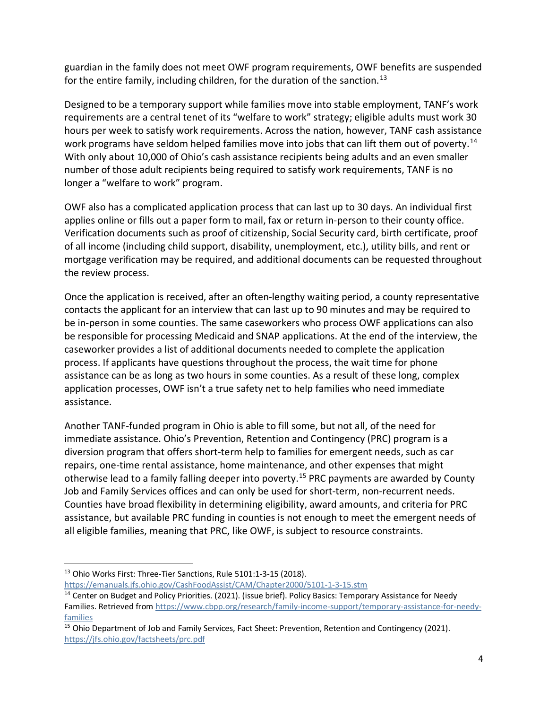guardian in the family does not meet OWF program requirements, OWF benefits are suspended for the entire family, including children, for the duration of the sanction.<sup>[13](#page-4-0)</sup>

Designed to be a temporary support while families move into stable employment, TANF's work requirements are a central tenet of its "welfare to work" strategy; eligible adults must work 30 hours per week to satisfy work requirements. Across the nation, however, TANF cash assistance work programs have seldom helped families move into jobs that can lift them out of poverty.<sup>[14](#page-4-1)</sup> With only about 10,000 of Ohio's cash assistance recipients being adults and an even smaller number of those adult recipients being required to satisfy work requirements, TANF is no longer a "welfare to work" program.

OWF also has a complicated application process that can last up to 30 days. An individual first applies online or fills out a paper form to mail, fax or return in-person to their county office. Verification documents such as proof of citizenship, Social Security card, birth certificate, proof of all income (including child support, disability, unemployment, etc.), utility bills, and rent or mortgage verification may be required, and additional documents can be requested throughout the review process.

Once the application is received, after an often-lengthy waiting period, a county representative contacts the applicant for an interview that can last up to 90 minutes and may be required to be in-person in some counties. The same caseworkers who process OWF applications can also be responsible for processing Medicaid and SNAP applications. At the end of the interview, the caseworker provides a list of additional documents needed to complete the application process. If applicants have questions throughout the process, the wait time for phone assistance can be as long as two hours in some counties. As a result of these long, complex application processes, OWF isn't a true safety net to help families who need immediate assistance.

Another TANF-funded program in Ohio is able to fill some, but not all, of the need for immediate assistance. Ohio's Prevention, Retention and Contingency (PRC) program is a diversion program that offers short-term help to families for emergent needs, such as car repairs, one-time rental assistance, home maintenance, and other expenses that might otherwise lead to a family falling deeper into poverty.<sup>[15](#page-4-2)</sup> PRC payments are awarded by County Job and Family Services offices and can only be used for short-term, non-recurrent needs. Counties have broad flexibility in determining eligibility, award amounts, and criteria for PRC assistance, but available PRC funding in counties is not enough to meet the emergent needs of all eligible families, meaning that PRC, like OWF, is subject to resource constraints.

<span id="page-4-0"></span> <sup>13</sup> Ohio Works First: Three-Tier Sanctions, Rule 5101:1-3-15 (2018). <https://emanuals.jfs.ohio.gov/CashFoodAssist/CAM/Chapter2000/5101-1-3-15.stm>

<span id="page-4-1"></span><sup>&</sup>lt;sup>14</sup> Center on Budget and Policy Priorities. (2021). (issue brief). Policy Basics: Temporary Assistance for Needy Families. Retrieved fro[m https://www.cbpp.org/research/family-income-support/temporary-assistance-for-needy](https://www.cbpp.org/research/family-income-support/temporary-assistance-for-needy-families)[families](https://www.cbpp.org/research/family-income-support/temporary-assistance-for-needy-families)

<span id="page-4-2"></span><sup>&</sup>lt;sup>15</sup> Ohio Department of Job and Family Services, Fact Sheet: Prevention, Retention and Contingency (2021). <https://jfs.ohio.gov/factsheets/prc.pdf>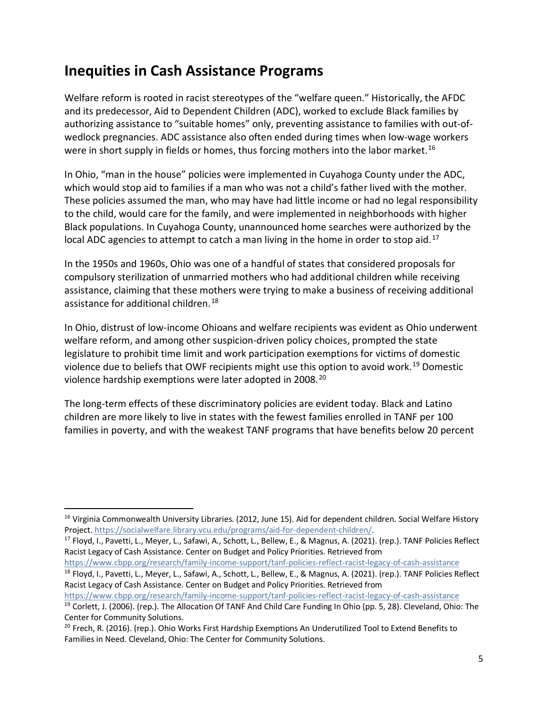#### **Inequities in Cash Assistance Programs**

Welfare reform is rooted in racist stereotypes of the "welfare queen." Historically, the AFDC and its predecessor, Aid to Dependent Children (ADC), worked to exclude Black families by authorizing assistance to "suitable homes" only, preventing assistance to families with out-ofwedlock pregnancies. ADC assistance also often ended during times when low-wage workers were in short supply in fields or homes, thus forcing mothers into the labor market.<sup>[16](#page-5-0)</sup>

In Ohio, "man in the house" policies were implemented in Cuyahoga County under the ADC, which would stop aid to families if a man who was not a child's father lived with the mother. These policies assumed the man, who may have had little income or had no legal responsibility to the child, would care for the family, and were implemented in neighborhoods with higher Black populations. In Cuyahoga County, unannounced home searches were authorized by the local ADC agencies to attempt to catch a man living in the home in order to stop aid.<sup>[17](#page-5-1)</sup>

In the 1950s and 1960s, Ohio was one of a handful of states that considered proposals for compulsory sterilization of unmarried mothers who had additional children while receiving assistance, claiming that these mothers were trying to make a business of receiving additional assistance for additional children.<sup>[18](#page-5-2)</sup>

In Ohio, distrust of low-income Ohioans and welfare recipients was evident as Ohio underwent welfare reform, and among other suspicion-driven policy choices, prompted the state legislature to prohibit time limit and work participation exemptions for victims of domestic violence due to beliefs that OWF recipients might use this option to avoid work.<sup>[19](#page-5-3)</sup> Domestic violence hardship exemptions were later adopted in [20](#page-5-4)08.<sup>20</sup>

The long-term effects of these discriminatory policies are evident today. Black and Latino children are more likely to live in states with the fewest families enrolled in TANF per 100 families in poverty, and with the weakest TANF programs that have benefits below 20 percent

<https://www.cbpp.org/research/family-income-support/tanf-policies-reflect-racist-legacy-of-cash-assistance>

<span id="page-5-0"></span><sup>&</sup>lt;sup>16</sup> Virginia Commonwealth University Libraries. (2012, June 15). Aid for dependent children. Social Welfare History Project[. https://socialwelfare.library.vcu.edu/programs/aid-for-dependent-children/.](https://socialwelfare.library.vcu.edu/programs/aid-for-dependent-children/)

<span id="page-5-1"></span><sup>&</sup>lt;sup>17</sup> Floyd, I., Pavetti, L., Meyer, L., Safawi, A., Schott, L., Bellew, E., & Magnus, A. (2021). (rep.). TANF Policies Reflect Racist Legacy of Cash Assistance. Center on Budget and Policy Priorities. Retrieved from

<span id="page-5-2"></span><https://www.cbpp.org/research/family-income-support/tanf-policies-reflect-racist-legacy-of-cash-assistance> <sup>18</sup> Floyd, I., Pavetti, L., Meyer, L., Safawi, A., Schott, L., Bellew, E., & Magnus, A. (2021). (rep.). TANF Policies Reflect Racist Legacy of Cash Assistance. Center on Budget and Policy Priorities. Retrieved from

<span id="page-5-3"></span><sup>&</sup>lt;sup>19</sup> Corlett, J. (2006). (rep.). The Allocation Of TANF And Child Care Funding In Ohio (pp. 5, 28). Cleveland, Ohio: The Center for Community Solutions.

<span id="page-5-4"></span><sup>&</sup>lt;sup>20</sup> Frech, R. (2016). (rep.). Ohio Works First Hardship Exemptions An Underutilized Tool to Extend Benefits to Families in Need. Cleveland, Ohio: The Center for Community Solutions.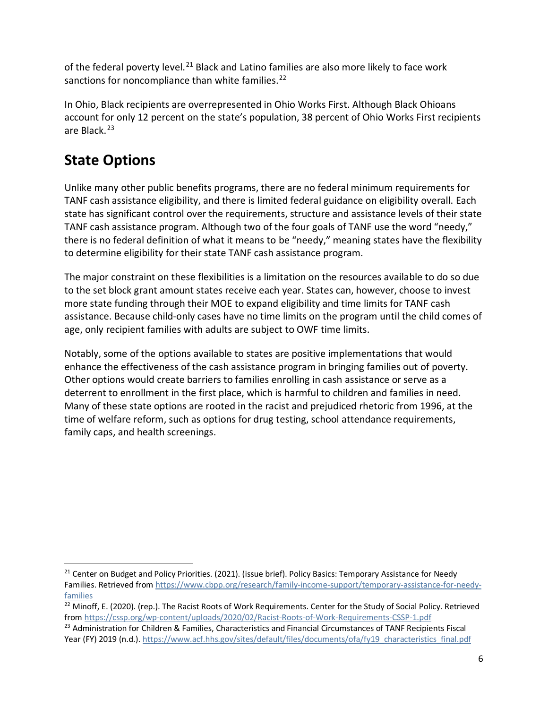of the federal poverty level.<sup>[21](#page-6-0)</sup> Black and Latino families are also more likely to face work sanctions for noncompliance than white families.<sup>[22](#page-6-1)</sup>

In Ohio, Black recipients are overrepresented in Ohio Works First. Although Black Ohioans account for only 12 percent on the state's population, 38 percent of Ohio Works First recipients are Black.<sup>[23](#page-6-2)</sup>

# **State Options**

Unlike many other public benefits programs, there are no federal minimum requirements for TANF cash assistance eligibility, and there is limited federal guidance on eligibility overall. Each state has significant control over the requirements, structure and assistance levels of their state TANF cash assistance program. Although two of the four goals of TANF use the word "needy," there is no federal definition of what it means to be "needy," meaning states have the flexibility to determine eligibility for their state TANF cash assistance program.

The major constraint on these flexibilities is a limitation on the resources available to do so due to the set block grant amount states receive each year. States can, however, choose to invest more state funding through their MOE to expand eligibility and time limits for TANF cash assistance. Because child-only cases have no time limits on the program until the child comes of age, only recipient families with adults are subject to OWF time limits.

Notably, some of the options available to states are positive implementations that would enhance the effectiveness of the cash assistance program in bringing families out of poverty. Other options would create barriers to families enrolling in cash assistance or serve as a deterrent to enrollment in the first place, which is harmful to children and families in need. Many of these state options are rooted in the racist and prejudiced rhetoric from 1996, at the time of welfare reform, such as options for drug testing, school attendance requirements, family caps, and health screenings.

<span id="page-6-0"></span><sup>&</sup>lt;sup>21</sup> Center on Budget and Policy Priorities. (2021). (issue brief). Policy Basics: Temporary Assistance for Needy Families. Retrieved fro[m https://www.cbpp.org/research/family-income-support/temporary-assistance-for-needy](https://www.cbpp.org/research/family-income-support/temporary-assistance-for-needy-families)[families](https://www.cbpp.org/research/family-income-support/temporary-assistance-for-needy-families)

<span id="page-6-1"></span><sup>&</sup>lt;sup>22</sup> Minoff, E. (2020). (rep.). The Racist Roots of Work Requirements. Center for the Study of Social Policy. Retrieved from<https://cssp.org/wp-content/uploads/2020/02/Racist-Roots-of-Work-Requirements-CSSP-1.pdf>

<span id="page-6-2"></span><sup>&</sup>lt;sup>23</sup> Administration for Children & Families, Characteristics and Financial Circumstances of TANF Recipients Fiscal Year (FY) 2019 (n.d.)[. https://www.acf.hhs.gov/sites/default/files/documents/ofa/fy19\\_characteristics\\_final.pdf](https://www.acf.hhs.gov/sites/default/files/documents/ofa/fy19_characteristics_final.pdf)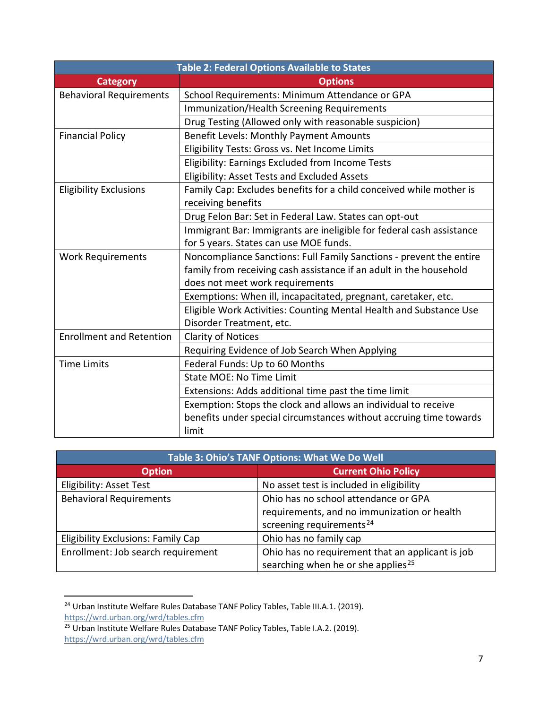| Table 2: Federal Options Available to States |                                                                      |  |
|----------------------------------------------|----------------------------------------------------------------------|--|
| <b>Category</b>                              | <b>Options</b>                                                       |  |
| <b>Behavioral Requirements</b>               | School Requirements: Minimum Attendance or GPA                       |  |
|                                              | Immunization/Health Screening Requirements                           |  |
|                                              | Drug Testing (Allowed only with reasonable suspicion)                |  |
| <b>Financial Policy</b>                      | Benefit Levels: Monthly Payment Amounts                              |  |
|                                              | Eligibility Tests: Gross vs. Net Income Limits                       |  |
|                                              | Eligibility: Earnings Excluded from Income Tests                     |  |
|                                              | Eligibility: Asset Tests and Excluded Assets                         |  |
| <b>Eligibility Exclusions</b>                | Family Cap: Excludes benefits for a child conceived while mother is  |  |
|                                              | receiving benefits                                                   |  |
|                                              | Drug Felon Bar: Set in Federal Law. States can opt-out               |  |
|                                              | Immigrant Bar: Immigrants are ineligible for federal cash assistance |  |
|                                              | for 5 years. States can use MOE funds.                               |  |
| <b>Work Requirements</b>                     | Noncompliance Sanctions: Full Family Sanctions - prevent the entire  |  |
|                                              | family from receiving cash assistance if an adult in the household   |  |
|                                              | does not meet work requirements                                      |  |
|                                              | Exemptions: When ill, incapacitated, pregnant, caretaker, etc.       |  |
|                                              | Eligible Work Activities: Counting Mental Health and Substance Use   |  |
|                                              | Disorder Treatment, etc.                                             |  |
| <b>Enrollment and Retention</b>              | <b>Clarity of Notices</b>                                            |  |
|                                              | Requiring Evidence of Job Search When Applying                       |  |
| <b>Time Limits</b>                           | Federal Funds: Up to 60 Months                                       |  |
|                                              | State MOE: No Time Limit                                             |  |
|                                              | Extensions: Adds additional time past the time limit                 |  |
|                                              | Exemption: Stops the clock and allows an individual to receive       |  |
|                                              | benefits under special circumstances without accruing time towards   |  |
|                                              | limit                                                                |  |

| Table 3: Ohio's TANF Options: What We Do Well |                                                  |  |
|-----------------------------------------------|--------------------------------------------------|--|
| <b>Option</b>                                 | <b>Current Ohio Policy</b>                       |  |
| <b>Eligibility: Asset Test</b>                | No asset test is included in eligibility         |  |
| <b>Behavioral Requirements</b>                | Ohio has no school attendance or GPA             |  |
|                                               | requirements, and no immunization or health      |  |
|                                               | screening requirements <sup>24</sup>             |  |
| <b>Eligibility Exclusions: Family Cap</b>     | Ohio has no family cap                           |  |
| Enrollment: Job search requirement            | Ohio has no requirement that an applicant is job |  |
|                                               | searching when he or she applies <sup>25</sup>   |  |

<span id="page-7-0"></span><sup>&</sup>lt;sup>24</sup> Urban Institute Welfare Rules Database TANF Policy Tables, Table III.A.1. (2019). <https://wrd.urban.org/wrd/tables.cfm>

<span id="page-7-1"></span><sup>&</sup>lt;sup>25</sup> Urban Institute Welfare Rules Database TANF Policy Tables, Table I.A.2. (2019). <https://wrd.urban.org/wrd/tables.cfm>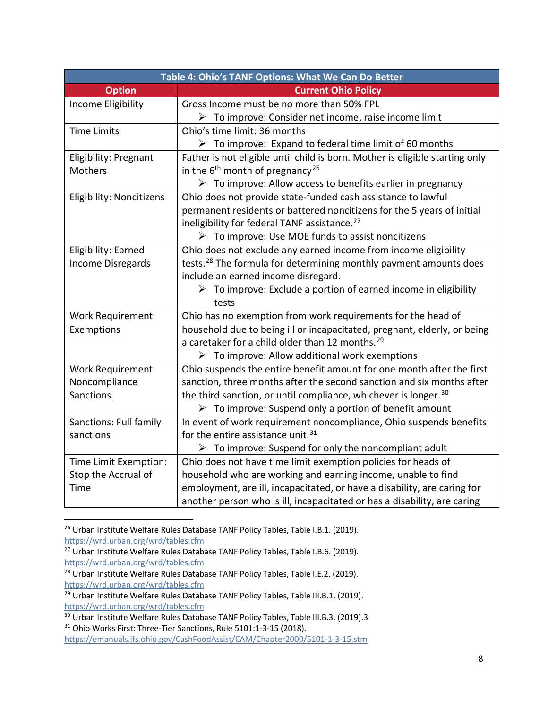| Table 4: Ohio's TANF Options: What We Can Do Better |                                                                                |  |
|-----------------------------------------------------|--------------------------------------------------------------------------------|--|
| <b>Option</b>                                       | <b>Current Ohio Policy</b>                                                     |  |
| Income Eligibility                                  | Gross Income must be no more than 50% FPL                                      |  |
|                                                     | $\triangleright$ To improve: Consider net income, raise income limit           |  |
| <b>Time Limits</b>                                  | Ohio's time limit: 36 months                                                   |  |
|                                                     | $\triangleright$ To improve: Expand to federal time limit of 60 months         |  |
| Eligibility: Pregnant                               | Father is not eligible until child is born. Mother is eligible starting only   |  |
| <b>Mothers</b>                                      | in the $6th$ month of pregnancy <sup>26</sup>                                  |  |
|                                                     | $\triangleright$ To improve: Allow access to benefits earlier in pregnancy     |  |
| <b>Eligibility: Noncitizens</b>                     | Ohio does not provide state-funded cash assistance to lawful                   |  |
|                                                     | permanent residents or battered noncitizens for the 5 years of initial         |  |
|                                                     | ineligibility for federal TANF assistance. <sup>27</sup>                       |  |
|                                                     | $\triangleright$ To improve: Use MOE funds to assist noncitizens               |  |
| Eligibility: Earned                                 | Ohio does not exclude any earned income from income eligibility                |  |
| <b>Income Disregards</b>                            | tests. <sup>28</sup> The formula for determining monthly payment amounts does  |  |
|                                                     | include an earned income disregard.                                            |  |
|                                                     | $\triangleright$ To improve: Exclude a portion of earned income in eligibility |  |
|                                                     | tests                                                                          |  |
| <b>Work Requirement</b>                             | Ohio has no exemption from work requirements for the head of                   |  |
| Exemptions                                          | household due to being ill or incapacitated, pregnant, elderly, or being       |  |
|                                                     | a caretaker for a child older than 12 months. <sup>29</sup>                    |  |
|                                                     | $\triangleright$ To improve: Allow additional work exemptions                  |  |
| <b>Work Requirement</b>                             | Ohio suspends the entire benefit amount for one month after the first          |  |
| Noncompliance                                       | sanction, three months after the second sanction and six months after          |  |
| Sanctions                                           | the third sanction, or until compliance, whichever is longer. <sup>30</sup>    |  |
|                                                     | $\triangleright$ To improve: Suspend only a portion of benefit amount          |  |
| Sanctions: Full family                              | In event of work requirement noncompliance, Ohio suspends benefits             |  |
| sanctions                                           | for the entire assistance unit. <sup>31</sup>                                  |  |
|                                                     | $\triangleright$ To improve: Suspend for only the noncompliant adult           |  |
| Time Limit Exemption:                               | Ohio does not have time limit exemption policies for heads of                  |  |
| Stop the Accrual of                                 | household who are working and earning income, unable to find                   |  |
| Time                                                | employment, are ill, incapacitated, or have a disability, are caring for       |  |
|                                                     | another person who is ill, incapacitated or has a disability, are caring       |  |

<span id="page-8-0"></span><sup>&</sup>lt;sup>26</sup> Urban Institute Welfare Rules Database TANF Policy Tables, Table I.B.1. (2019). <https://wrd.urban.org/wrd/tables.cfm>

<span id="page-8-1"></span><sup>&</sup>lt;sup>27</sup> Urban Institute Welfare Rules Database TANF Policy Tables, Table I.B.6. (2019). <https://wrd.urban.org/wrd/tables.cfm>

<span id="page-8-2"></span><sup>&</sup>lt;sup>28</sup> Urban Institute Welfare Rules Database TANF Policy Tables, Table I.E.2. (2019). <https://wrd.urban.org/wrd/tables.cfm>

<span id="page-8-3"></span><sup>&</sup>lt;sup>29</sup> Urban Institute Welfare Rules Database TANF Policy Tables, Table III.B.1. (2019). <https://wrd.urban.org/wrd/tables.cfm>

<span id="page-8-4"></span><sup>&</sup>lt;sup>30</sup> Urban Institute Welfare Rules Database TANF Policy Tables, Table III.B.3. (2019).3 <sup>31</sup> Ohio Works First: Three-Tier Sanctions, Rule 5101:1-3-15 (2018).

<span id="page-8-5"></span><https://emanuals.jfs.ohio.gov/CashFoodAssist/CAM/Chapter2000/5101-1-3-15.stm>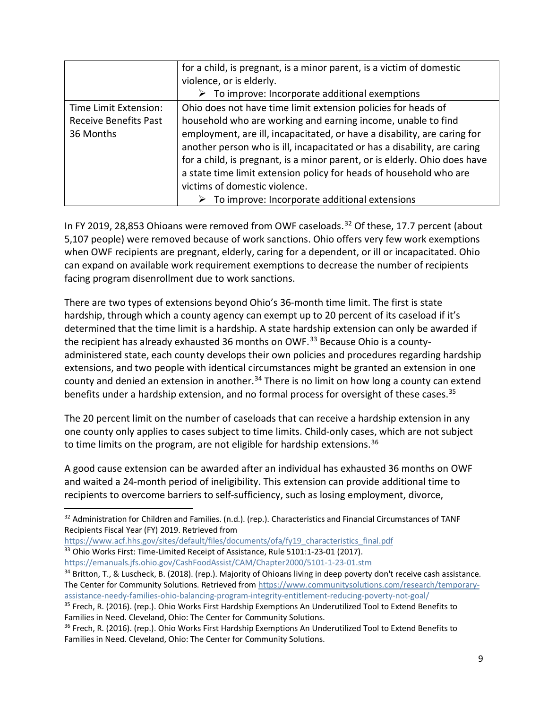|                              | for a child, is pregnant, is a minor parent, is a victim of domestic       |
|------------------------------|----------------------------------------------------------------------------|
|                              | violence, or is elderly.                                                   |
|                              | $\triangleright$ To improve: Incorporate additional exemptions             |
| Time Limit Extension:        | Ohio does not have time limit extension policies for heads of              |
| <b>Receive Benefits Past</b> | household who are working and earning income, unable to find               |
| 36 Months                    | employment, are ill, incapacitated, or have a disability, are caring for   |
|                              | another person who is ill, incapacitated or has a disability, are caring   |
|                              | for a child, is pregnant, is a minor parent, or is elderly. Ohio does have |
|                              | a state time limit extension policy for heads of household who are         |
|                              | victims of domestic violence.                                              |
|                              | $\triangleright$ To improve: Incorporate additional extensions             |

In FY 2019, 28,853 Ohioans were removed from OWF caseloads.<sup>[32](#page-9-0)</sup> Of these, 17.7 percent (about 5,107 people) were removed because of work sanctions. Ohio offers very few work exemptions when OWF recipients are pregnant, elderly, caring for a dependent, or ill or incapacitated. Ohio can expand on available work requirement exemptions to decrease the number of recipients facing program disenrollment due to work sanctions.

There are two types of extensions beyond Ohio's 36-month time limit. The first is state hardship, through which a county agency can exempt up to 20 percent of its caseload if it's determined that the time limit is a hardship. A state hardship extension can only be awarded if the recipient has already exhausted 36 months on OWF.<sup>[33](#page-9-1)</sup> Because Ohio is a countyadministered state, each county develops their own policies and procedures regarding hardship extensions, and two people with identical circumstances might be granted an extension in one county and denied an extension in another.<sup>[34](#page-9-2)</sup> There is no limit on how long a county can extend benefits under a hardship extension, and no formal process for oversight of these cases.<sup>[35](#page-9-3)</sup>

The 20 percent limit on the number of caseloads that can receive a hardship extension in any one county only applies to cases subject to time limits. Child-only cases, which are not subject to time limits on the program, are not eligible for hardship extensions.<sup>[36](#page-9-4)</sup>

A good cause extension can be awarded after an individual has exhausted 36 months on OWF and waited a 24-month period of ineligibility. This extension can provide additional time to recipients to overcome barriers to self-sufficiency, such as losing employment, divorce,

[https://www.acf.hhs.gov/sites/default/files/documents/ofa/fy19\\_characteristics\\_final.pdf](https://www.acf.hhs.gov/sites/default/files/documents/ofa/fy19_characteristics_final.pdf) <sup>33</sup> Ohio Works First: Time-Limited Receipt of Assistance, Rule 5101:1-23-01 (2017).

<span id="page-9-1"></span><https://emanuals.jfs.ohio.gov/CashFoodAssist/CAM/Chapter2000/5101-1-23-01.stm>

<span id="page-9-0"></span> $32$  Administration for Children and Families. (n.d.). (rep.). Characteristics and Financial Circumstances of TANF Recipients Fiscal Year (FY) 2019. Retrieved from

<span id="page-9-2"></span><sup>34</sup> Britton, T., & Luscheck, B. (2018). (rep.). Majority of Ohioans living in deep poverty don't receive cash assistance. The Center for Community Solutions. Retrieved fro[m https://www.communitysolutions.com/research/temporary](https://www.communitysolutions.com/research/temporary-assistance-needy-families-ohio-balancing-program-integrity-entitlement-reducing-poverty-not-goal/)[assistance-needy-families-ohio-balancing-program-integrity-entitlement-reducing-poverty-not-goal/](https://www.communitysolutions.com/research/temporary-assistance-needy-families-ohio-balancing-program-integrity-entitlement-reducing-poverty-not-goal/)

<span id="page-9-3"></span><sup>&</sup>lt;sup>35</sup> Frech, R. (2016). (rep.). Ohio Works First Hardship Exemptions An Underutilized Tool to Extend Benefits to Families in Need. Cleveland, Ohio: The Center for Community Solutions.

<span id="page-9-4"></span><sup>&</sup>lt;sup>36</sup> Frech, R. (2016). (rep.). Ohio Works First Hardship Exemptions An Underutilized Tool to Extend Benefits to Families in Need. Cleveland, Ohio: The Center for Community Solutions.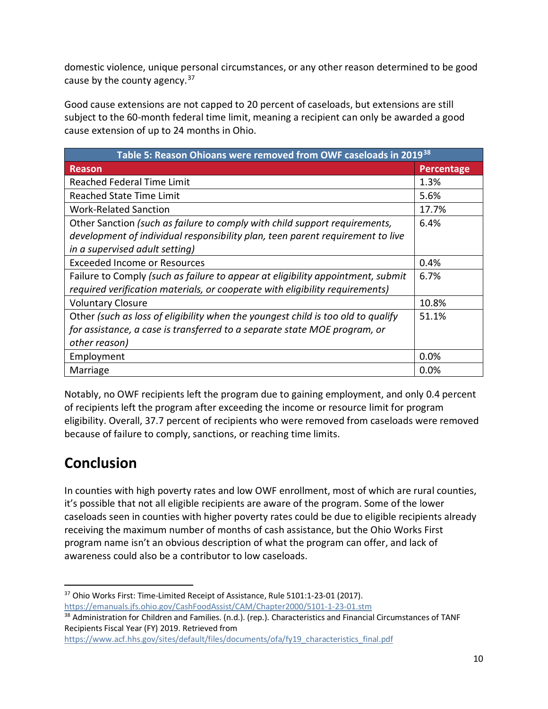domestic violence, unique personal circumstances, or any other reason determined to be good cause by the county agency.<sup>[37](#page-10-0)</sup>

Good cause extensions are not capped to 20 percent of caseloads, but extensions are still subject to the 60-month federal time limit, meaning a recipient can only be awarded a good cause extension of up to 24 months in Ohio.

| Table 5: Reason Ohioans were removed from OWF caseloads in 2019 <sup>38</sup>    |            |  |
|----------------------------------------------------------------------------------|------------|--|
| Reason                                                                           | Percentage |  |
| <b>Reached Federal Time Limit</b>                                                | 1.3%       |  |
| <b>Reached State Time Limit</b>                                                  | 5.6%       |  |
| <b>Work-Related Sanction</b>                                                     | 17.7%      |  |
| Other Sanction (such as failure to comply with child support requirements,       | 6.4%       |  |
| development of individual responsibility plan, teen parent requirement to live   |            |  |
| in a supervised adult setting)                                                   |            |  |
| Exceeded Income or Resources                                                     | 0.4%       |  |
| Failure to Comply (such as failure to appear at eligibility appointment, submit  | 6.7%       |  |
| required verification materials, or cooperate with eligibility requirements)     |            |  |
| <b>Voluntary Closure</b>                                                         | 10.8%      |  |
| Other (such as loss of eligibility when the youngest child is too old to qualify | 51.1%      |  |
| for assistance, a case is transferred to a separate state MOE program, or        |            |  |
| other reason)                                                                    |            |  |
| Employment                                                                       | 0.0%       |  |
| Marriage                                                                         | 0.0%       |  |

Notably, no OWF recipients left the program due to gaining employment, and only 0.4 percent of recipients left the program after exceeding the income or resource limit for program eligibility. Overall, 37.7 percent of recipients who were removed from caseloads were removed because of failure to comply, sanctions, or reaching time limits.

#### **Conclusion**

In counties with high poverty rates and low OWF enrollment, most of which are rural counties, it's possible that not all eligible recipients are aware of the program. Some of the lower caseloads seen in counties with higher poverty rates could be due to eligible recipients already receiving the maximum number of months of cash assistance, but the Ohio Works First program name isn't an obvious description of what the program can offer, and lack of awareness could also be a contributor to low caseloads.

<span id="page-10-0"></span> 37 Ohio Works First: Time-Limited Receipt of Assistance, Rule 5101:1-23-01 (2017). <https://emanuals.jfs.ohio.gov/CashFoodAssist/CAM/Chapter2000/5101-1-23-01.stm>

<span id="page-10-1"></span><sup>38</sup> Administration for Children and Families. (n.d.). (rep.). Characteristics and Financial Circumstances of TANF Recipients Fiscal Year (FY) 2019. Retrieved from

[https://www.acf.hhs.gov/sites/default/files/documents/ofa/fy19\\_characteristics\\_final.pdf](https://www.acf.hhs.gov/sites/default/files/documents/ofa/fy19_characteristics_final.pdf)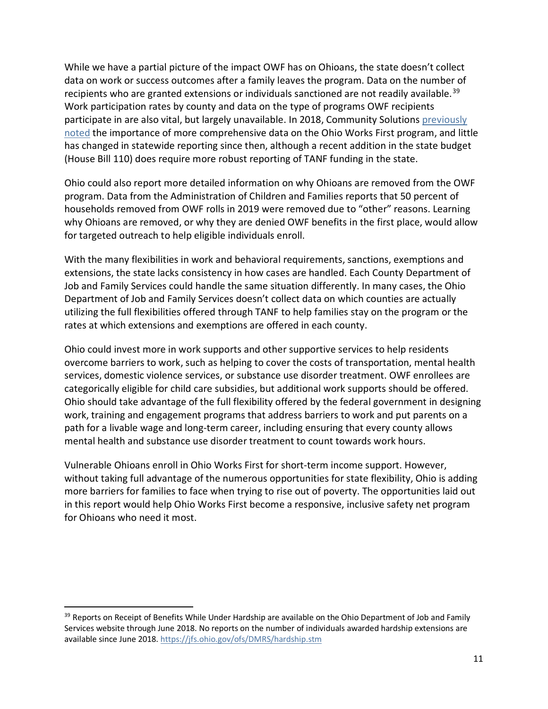While we have a partial picture of the impact OWF has on Ohioans, the state doesn't collect data on work or success outcomes after a family leaves the program. Data on the number of recipients who are granted extensions or individuals sanctioned are not readily available.<sup>[39](#page-11-0)</sup> Work participation rates by county and data on the type of programs OWF recipients participate in are also vital, but largely unavailable. In 2018, Community Solutions [previously](https://www.communitysolutions.com/research/temporary-assistance-needy-families-ohio-balancing-program-integrity-entitlement-reducing-poverty-not-goal/)  [noted](https://www.communitysolutions.com/research/temporary-assistance-needy-families-ohio-balancing-program-integrity-entitlement-reducing-poverty-not-goal/) the importance of more comprehensive data on the Ohio Works First program, and little has changed in statewide reporting since then, although a recent addition in the state budget (House Bill 110) does require more robust reporting of TANF funding in the state.

Ohio could also report more detailed information on why Ohioans are removed from the OWF program. Data from the Administration of Children and Families reports that 50 percent of households removed from OWF rolls in 2019 were removed due to "other" reasons. Learning why Ohioans are removed, or why they are denied OWF benefits in the first place, would allow for targeted outreach to help eligible individuals enroll.

With the many flexibilities in work and behavioral requirements, sanctions, exemptions and extensions, the state lacks consistency in how cases are handled. Each County Department of Job and Family Services could handle the same situation differently. In many cases, the Ohio Department of Job and Family Services doesn't collect data on which counties are actually utilizing the full flexibilities offered through TANF to help families stay on the program or the rates at which extensions and exemptions are offered in each county.

Ohio could invest more in work supports and other supportive services to help residents overcome barriers to work, such as helping to cover the costs of transportation, mental health services, domestic violence services, or substance use disorder treatment. OWF enrollees are categorically eligible for child care subsidies, but additional work supports should be offered. Ohio should take advantage of the full flexibility offered by the federal government in designing work, training and engagement programs that address barriers to work and put parents on a path for a livable wage and long-term career, including ensuring that every county allows mental health and substance use disorder treatment to count towards work hours.

Vulnerable Ohioans enroll in Ohio Works First for short-term income support. However, without taking full advantage of the numerous opportunities for state flexibility, Ohio is adding more barriers for families to face when trying to rise out of poverty. The opportunities laid out in this report would help Ohio Works First become a responsive, inclusive safety net program for Ohioans who need it most.

<span id="page-11-0"></span><sup>&</sup>lt;sup>39</sup> Reports on Receipt of Benefits While Under Hardship are available on the Ohio Department of Job and Family Services website through June 2018. No reports on the number of individuals awarded hardship extensions are available since June 2018[. https://jfs.ohio.gov/ofs/DMRS/hardship.stm](https://jfs.ohio.gov/ofs/DMRS/hardship.stm)